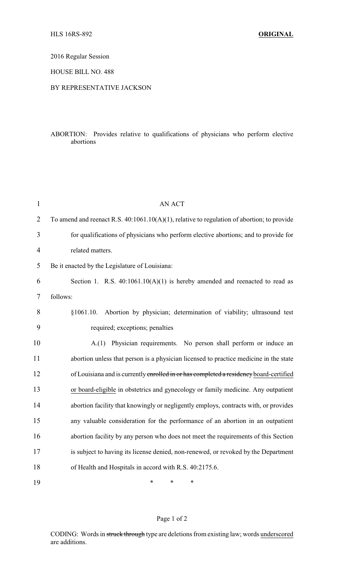2016 Regular Session

HOUSE BILL NO. 488

## BY REPRESENTATIVE JACKSON

## ABORTION: Provides relative to qualifications of physicians who perform elective abortions

| $\mathbf{1}$   | <b>AN ACT</b>                                                                                 |
|----------------|-----------------------------------------------------------------------------------------------|
| $\overline{2}$ | To amend and reenact R.S. $40:1061.10(A)(1)$ , relative to regulation of abortion; to provide |
| 3              | for qualifications of physicians who perform elective abortions; and to provide for           |
| $\overline{4}$ | related matters.                                                                              |
| 5              | Be it enacted by the Legislature of Louisiana:                                                |
| 6              | Section 1. R.S. $40:1061.10(A)(1)$ is hereby amended and reenacted to read as                 |
| 7              | follows:                                                                                      |
| 8              | Abortion by physician; determination of viability; ultrasound test<br>§1061.10.               |
| 9              | required; exceptions; penalties                                                               |
| 10             | A.(1) Physician requirements. No person shall perform or induce an                            |
| 11             | abortion unless that person is a physician licensed to practice medicine in the state         |
| 12             | of Louisiana and is currently enrolled in or has completed a residency board-certified        |
| 13             | or board-eligible in obstetrics and gynecology or family medicine. Any outpatient             |
| 14             | abortion facility that knowingly or negligently employs, contracts with, or provides          |
| 15             | any valuable consideration for the performance of an abortion in an outpatient                |
| 16             | abortion facility by any person who does not meet the requirements of this Section            |
| 17             | is subject to having its license denied, non-renewed, or revoked by the Department            |
| 18             | of Health and Hospitals in accord with R.S. 40:2175.6.                                        |
| 19             | $\ast$<br>*<br>$\ast$                                                                         |

## Page 1 of 2

CODING: Words in struck through type are deletions from existing law; words underscored are additions.